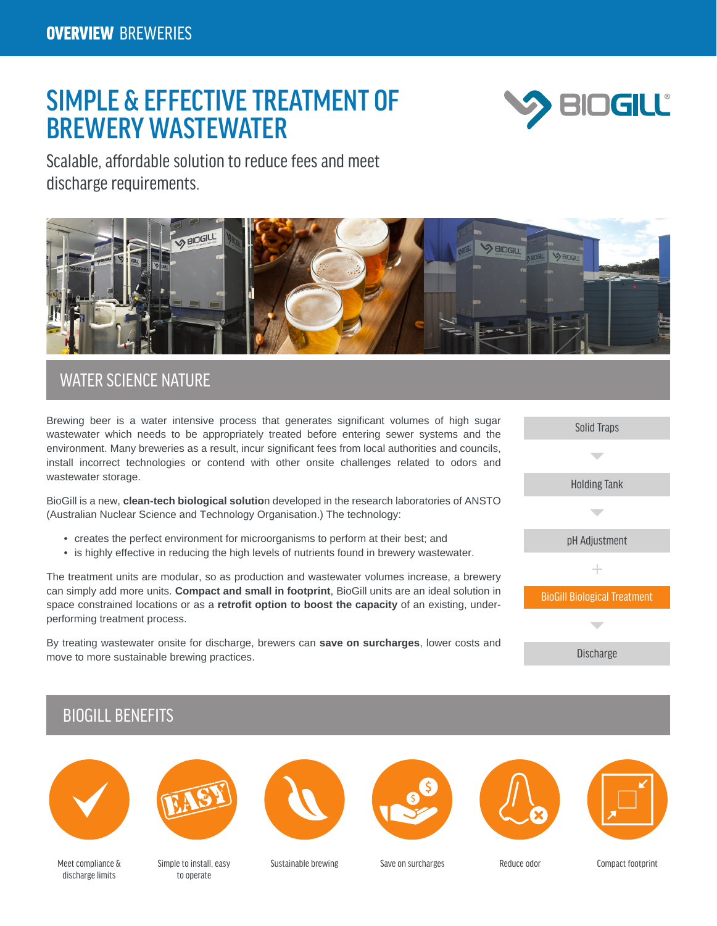# SIMPLE & EFFECTIVE TREATMENT OF BREWERY WASTEWATER



Scalable, affordable solution to reduce fees and meet discharge requirements.



### WATER SCIENCE NATURE

Brewing beer is a water intensive process that generates significant volumes of high sugar wastewater which needs to be appropriately treated before entering sewer systems and the environment. Many breweries as a result, incur significant fees from local authorities and councils, install incorrect technologies or contend with other onsite challenges related to odors and wastewater storage.

BioGill is a new, **clean-tech biological solutio**n developed in the research laboratories of ANSTO (Australian Nuclear Science and Technology Organisation.) The technology:

- creates the perfect environment for microorganisms to perform at their best; and
- is highly effective in reducing the high levels of nutrients found in brewery wastewater.

The treatment units are modular, so as production and wastewater volumes increase, a brewery can simply add more units. **Compact and small in footprint**, BioGill units are an ideal solution in space constrained locations or as a **retrofit option to boost the capacity** of an existing, underperforming treatment process.

By treating wastewater onsite for discharge, brewers can **save on surcharges**, lower costs and move to more sustainable brewing practices.



## BIOGILL BENEFITS













Meet compliance & discharge limits

Simple to install, easy to operate

Sustainable brewing Save on surcharges Reduce odor Compact footprint